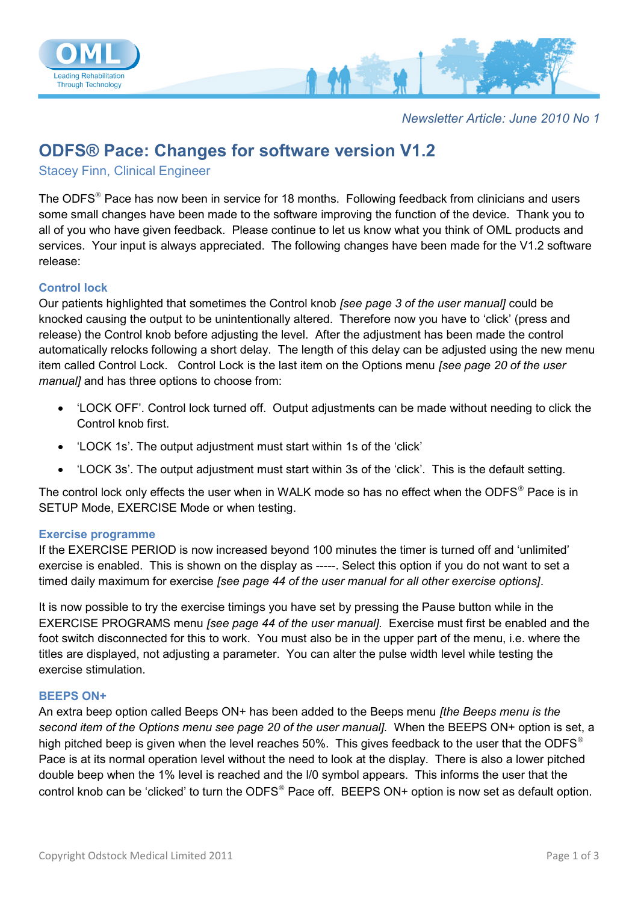

*Newsletter Article: June 2010 No 1*

# **ODFS® Pace: Changes for software version V1.2**

Stacey Finn, Clinical Engineer

The ODFS<sup>®</sup> Pace has now been in service for 18 months. Following feedback from clinicians and users some small changes have been made to the software improving the function of the device. Thank you to all of you who have given feedback. Please continue to let us know what you think of OML products and services. Your input is always appreciated. The following changes have been made for the V1.2 software release:

#### **Control lock**

Our patients highlighted that sometimes the Control knob *[see page 3 of the user manual]* could be knocked causing the output to be unintentionally altered. Therefore now you have to 'click' (press and release) the Control knob before adjusting the level. After the adjustment has been made the control automatically relocks following a short delay. The length of this delay can be adjusted using the new menu item called Control Lock. Control Lock is the last item on the Options menu *[see page 20 of the user manual]* and has three options to choose from:

- 'LOCK OFF'. Control lock turned off. Output adjustments can be made without needing to click the Control knob first.
- 'LOCK 1s'. The output adjustment must start within 1s of the 'click'
- 'LOCK 3s'. The output adjustment must start within 3s of the 'click'. This is the default setting.

The control lock only effects the user when in WALK mode so has no effect when the ODFS<sup>®</sup> Pace is in SETUP Mode, EXERCISE Mode or when testing.

#### **Exercise programme**

If the EXERCISE PERIOD is now increased beyond 100 minutes the timer is turned off and 'unlimited' exercise is enabled. This is shown on the display as -----. Select this option if you do not want to set a timed daily maximum for exercise *[see page 44 of the user manual for all other exercise options]*.

It is now possible to try the exercise timings you have set by pressing the Pause button while in the EXERCISE PROGRAMS menu *[see page 44 of the user manual].* Exercise must first be enabled and the foot switch disconnected for this to work. You must also be in the upper part of the menu, i.e. where the titles are displayed, not adjusting a parameter. You can alter the pulse width level while testing the exercise stimulation.

#### **BEEPS ON+**

An extra beep option called Beeps ON+ has been added to the Beeps menu *[the Beeps menu is the second item of the Options menu see page 20 of the user manual].* When the BEEPS ON+ option is set, a high pitched beep is given when the level reaches 50%. This gives feedback to the user that the ODFS<sup>®</sup> Pace is at its normal operation level without the need to look at the display. There is also a lower pitched double beep when the 1% level is reached and the l/0 symbol appears. This informs the user that the control knob can be 'clicked' to turn the ODFS<sup>®</sup> Pace off. BEEPS ON+ option is now set as default option.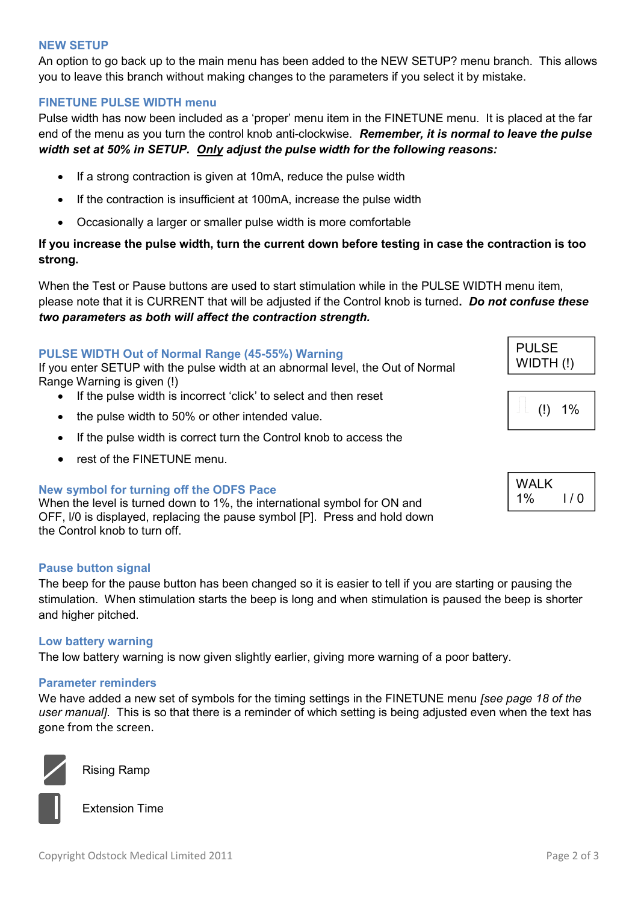## **NEW SETUP**

An option to go back up to the main menu has been added to the NEW SETUP? menu branch. This allows you to leave this branch without making changes to the parameters if you select it by mistake.

# **FINETUNE PULSE WIDTH menu**

Pulse width has now been included as a 'proper' menu item in the FINETUNE menu. It is placed at the far end of the menu as you turn the control knob anti-clockwise. *Remember, it is normal to leave the pulse width set at 50% in SETUP. Only adjust the pulse width for the following reasons:*

- If a strong contraction is given at 10mA, reduce the pulse width
- If the contraction is insufficient at 100mA, increase the pulse width
- Occasionally a larger or smaller pulse width is more comfortable

# **If you increase the pulse width, turn the current down before testing in case the contraction is too strong.**

When the Test or Pause buttons are used to start stimulation while in the PULSE WIDTH menu item, please note that it is CURRENT that will be adjusted if the Control knob is turned**.** *Do not confuse these two parameters as both will affect the contraction strength.*

#### **PULSE WIDTH Out of Normal Range (45-55%) Warning**

If you enter SETUP with the pulse width at an abnormal level, the Out of Normal Range Warning is given (!)

- If the pulse width is incorrect 'click' to select and then reset
- the pulse width to 50% or other intended value.
- If the pulse width is correct turn the Control knob to access the
- rest of the FINETUNE menu.

#### **New symbol for turning off the ODFS Pace**

When the level is turned down to 1%, the international symbol for ON and OFF, l/0 is displayed, replacing the pause symbol [P]. Press and hold down the Control knob to turn off.

#### **Pause button signal**

The beep for the pause button has been changed so it is easier to tell if you are starting or pausing the stimulation. When stimulation starts the beep is long and when stimulation is paused the beep is shorter and higher pitched.

#### **Low battery warning**

The low battery warning is now given slightly earlier, giving more warning of a poor battery.

#### **Parameter reminders**

We have added a new set of symbols for the timing settings in the FINETUNE menu *[see page 18 of the user manual]*. This is so that there is a reminder of which setting is being adjusted even when the text has gone from the screen.



Rising Ramp



Extension Time

| PULSE     |  |
|-----------|--|
| (!) WIDTH |  |



| <b>WALK</b> |     |  |
|-------------|-----|--|
| 1%          | 1/0 |  |